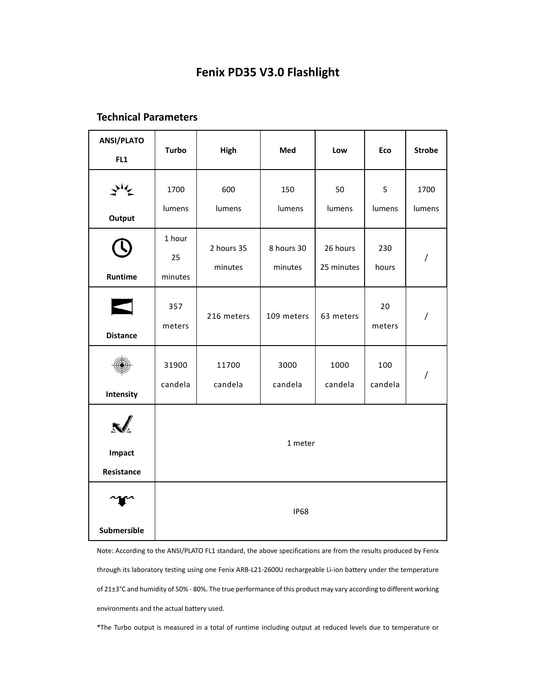# **Fenix PD35 V3.0 Flashlight**

## **Technical Parameters**

| <b>ANSI/PLATO</b><br>FL1    | <b>Turbo</b>            | High                  | Med                   | Low                    | Eco            | <b>Strobe</b>  |  |  |
|-----------------------------|-------------------------|-----------------------|-----------------------|------------------------|----------------|----------------|--|--|
| ざん<br>Output                | 1700<br>lumens          | 600<br>lumens         | 150<br>lumens         | 50<br>lumens           | 5<br>lumens    | 1700<br>lumens |  |  |
| Runtime                     | 1 hour<br>25<br>minutes | 2 hours 35<br>minutes | 8 hours 30<br>minutes | 26 hours<br>25 minutes | 230<br>hours   | $\overline{1}$ |  |  |
| <b>Distance</b>             | 357<br>meters           | 216 meters            | 109 meters            | 63 meters              | 20<br>meters   | /              |  |  |
| Intensity                   | 31900<br>candela        | 11700<br>candela      | 3000<br>candela       | 1000<br>candela        | 100<br>candela | $\overline{1}$ |  |  |
| <b>Impact</b><br>Resistance | 1 meter                 |                       |                       |                        |                |                |  |  |
| Submersible                 | <b>IP68</b>             |                       |                       |                        |                |                |  |  |

Note: According to the ANSI/PLATO FL1 standard, the above specifications are from the results produced by Fenix through its laboratory testing using one Fenix ARB‐L21‐2600U rechargeable Li‐ion battery under the temperature of 21±3°C and humidity of 50% ‐ 80%. The true performance of this product may vary according to different working environments and the actual battery used.

\*The Turbo output is measured in a total of runtime including output at reduced levels due to temperature or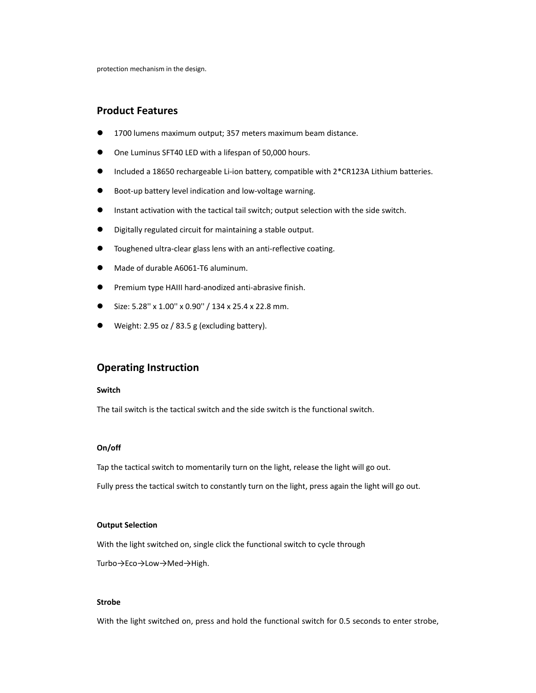## **Product Features**

- 1700 lumens maximum output; 357 meters maximum beam distance.
- One Luminus SFT40 LED with a lifespan of 50,000 hours.
- Included a 18650 rechargeable Li‐ion battery, compatible with 2\*CR123A Lithium batteries.
- Boot‐up battery level indication and low‐voltage warning.
- Instant activation with the tactical tail switch; output selection with the side switch.
- Digitally regulated circuit for maintaining a stable output.
- Toughened ultra‐clear glass lens with an anti‐reflective coating.
- Made of durable A6061‐T6 aluminum.
- Premium type HAIII hard-anodized anti-abrasive finish.
- Size: 5.28'' x 1.00'' x 0.90'' / 134 x 25.4 x 22.8 mm.
- Weight: 2.95 oz / 83.5 g (excluding battery).

## **Operating Instruction**

#### **Switch**

The tail switch is the tactical switch and the side switch is the functional switch.

#### **On/off**

Tap the tactical switch to momentarily turn on the light, release the light will go out.

Fully press the tactical switch to constantly turn on the light, press again the light will go out.

### **Output Selection**

With the light switched on, single click the functional switch to cycle through Turbo→Eco→Low→Med→High.

### **Strobe**

With the light switched on, press and hold the functional switch for 0.5 seconds to enter strobe,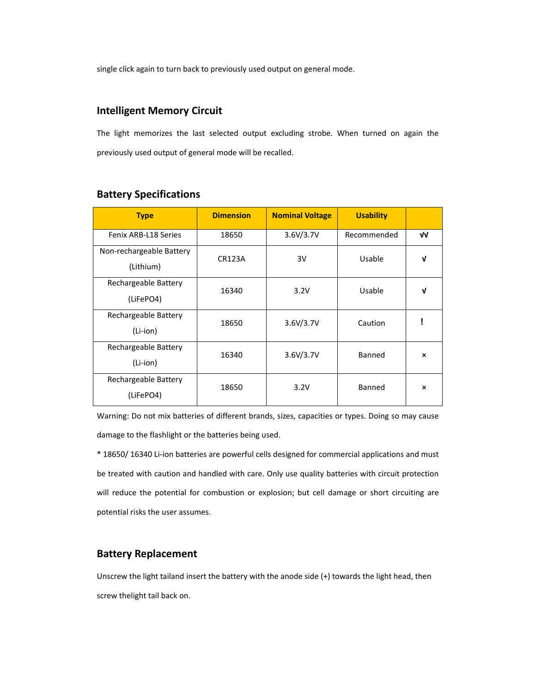single click again to turn back to previously used output on general mode.

## **Intelligent Memory Circuit**

The light memorizes the last selected output excluding strobe. When turned on again the previously used output of general mode will be recalled.

| <b>Type</b>                           | <b>Dimension</b> | <b>Nominal Voltage</b> | <b>Usability</b> |                           |
|---------------------------------------|------------------|------------------------|------------------|---------------------------|
| Fenix ARB-L18 Series                  | 18650            | 3.6V/3.7V              | Recommended      | V٧                        |
| Non-rechargeable Battery<br>(Lithium) | <b>CR123A</b>    | 3V                     | Usable           | V                         |
| Rechargeable Battery<br>(LiFePO4)     | 16340            | 3.2V                   | Usable           | v                         |
| Rechargeable Battery<br>(Li-ion)      | 18650            | 3.6V/3.7V              | Caution          |                           |
| Rechargeable Battery<br>(Li-ion)      | 16340            | 3.6V/3.7V              | Banned           | $\boldsymbol{\mathsf{x}}$ |
| Rechargeable Battery<br>(LiFePO4)     | 18650            | 3.2V                   | Banned           | $\boldsymbol{\mathsf{x}}$ |

## **Battery Specifications**

Warning: Do not mix batteries of different brands, sizes, capacities or types. Doing so may cause damage to the flashlight or the batteries being used.

\* 18650/ 16340 Li‐ion batteries are powerful cells designed for commercial applications and must be treated with caution and handled with care. Only use quality batteries with circuit protection will reduce the potential for combustion or explosion; but cell damage or short circuiting are potential risks the user assumes.

## **Battery Replacement**

Unscrew the light tailand insert the battery with the anode side (+) towards the light head, then screw thelight tail back on.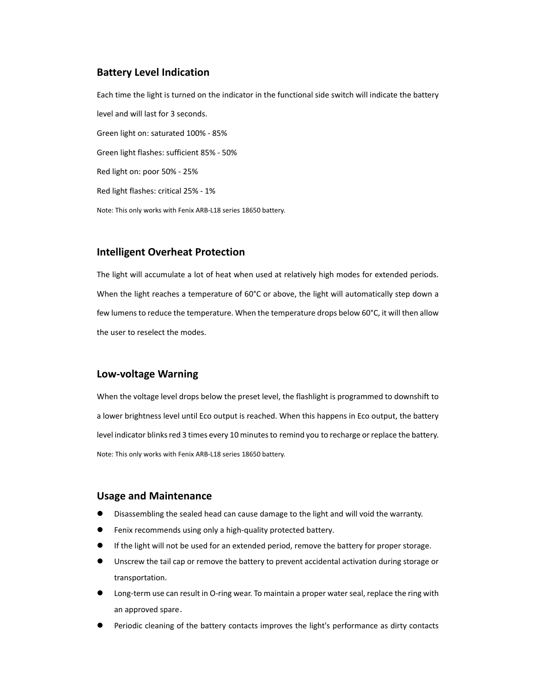## **Battery Level Indication**

Each time the light is turned on the indicator in the functional side switch will indicate the battery level and will last for 3 seconds. Green light on: saturated 100% ‐ 85% Green light flashes: sufficient 85% ‐ 50% Red light on: poor 50% ‐ 25% Red light flashes: critical 25% ‐ 1% Note: This only works with Fenix ARB‐L18 series 18650 battery.

## **Intelligent Overheat Protection**

The light will accumulate a lot of heat when used at relatively high modes for extended periods. When the light reaches a temperature of 60°C or above, the light will automatically step down a few lumens to reduce the temperature. When the temperature drops below 60°C, it will then allow the user to reselect the modes.

## **Low‐voltage Warning**

When the voltage level drops below the preset level, the flashlight is programmed to downshift to a lower brightness level until Eco output is reached. When this happens in Eco output, the battery level indicator blinks red 3 times every 10 minutes to remind you to recharge or replace the battery. Note: This only works with Fenix ARB‐L18 series 18650 battery.

### **Usage and Maintenance**

- Disassembling the sealed head can cause damage to the light and will void the warranty.
- Fenix recommends using only a high‐quality protected battery.
- If the light will not be used for an extended period, remove the battery for proper storage.
- Unscrew the tail cap or remove the battery to prevent accidental activation during storage or transportation.
- Long-term use can result in O-ring wear. To maintain a proper water seal, replace the ring with an approved spare.
- Periodic cleaning of the battery contacts improves the light's performance as dirty contacts